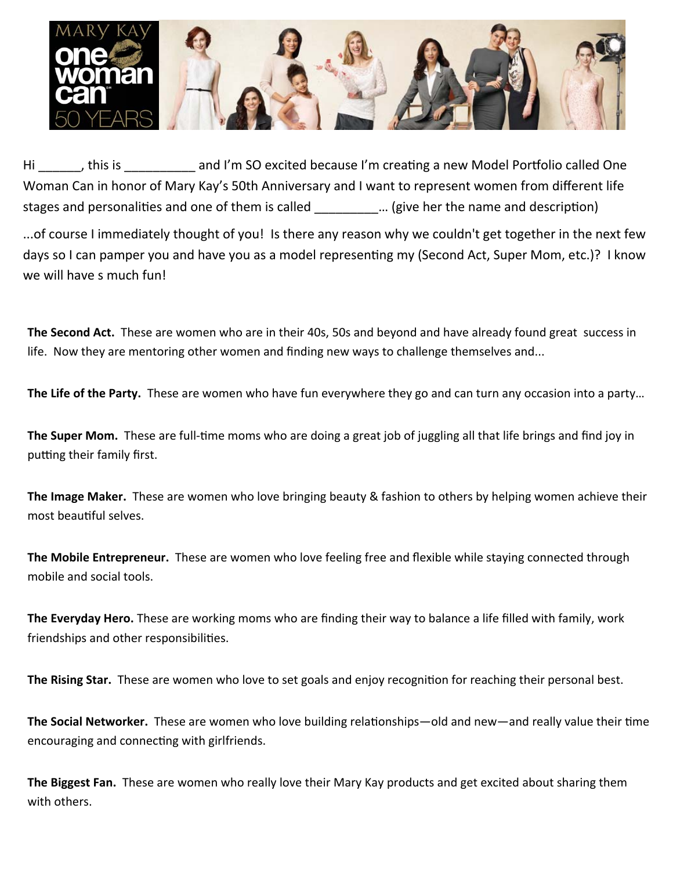

Hi discussed the So excited because I'm creating a new Model Portfolio called One Woman Can in honor of Mary Kay's 50th Anniversary and I want to represent women from different life stages and personalities and one of them is called  $\ldots$  (give her the name and description)

...of course I immediately thought of you! Is there any reason why we couldn't get together in the next few days so I can pamper you and have you as a model representing my (Second Act, Super Mom, etc.)? I know we will have s much fun!

**The Second Act.** These are women who are in their 40s, 50s and beyond and have already found great success in life. Now they are mentoring other women and finding new ways to challenge themselves and...

**The Life of the Party.** These are women who have fun everywhere they go and can turn any occasion into a party…

**The Super Mom.** These are full-time moms who are doing a great job of juggling all that life brings and find joy in putting their family first.

**The Image Maker.** These are women who love bringing beauty & fashion to others by helping women achieve their most beautiful selves.

**The Mobile Entrepreneur.** These are women who love feeling free and flexible while staying connected through mobile and social tools.

**The Everyday Hero.** These are working moms who are finding their way to balance a life filled with family, work friendships and other responsibilities.

The Rising Star. These are women who love to set goals and enjoy recognition for reaching their personal best.

**The Social Networker.** These are women who love building relationships—old and new—and really value their time encouraging and connecting with girlfriends.

**The Biggest Fan.** These are women who really love their Mary Kay products and get excited about sharing them with others.